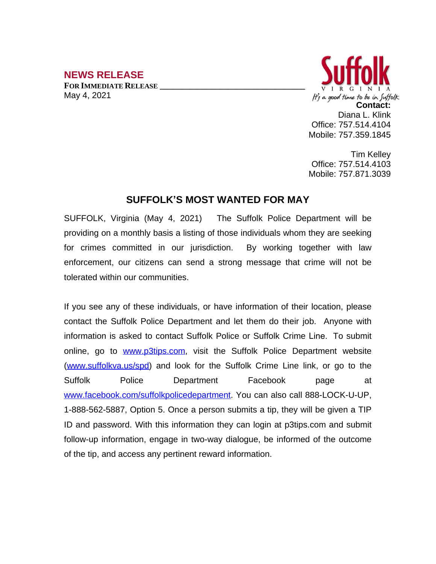## **NEWS RELEASE**

**FOR IMMEDIATE RELEASE \_\_\_\_\_\_\_\_\_\_\_\_\_\_\_\_\_\_\_\_\_\_\_\_\_\_\_\_\_\_\_\_\_\_** May 4, 2021



Tim Kelley Office: 757.514.4103 Mobile: 757.871.3039

## **SUFFOLK'S MOST WANTED FOR MAY**

SUFFOLK, Virginia (May 4, 2021) The Suffolk Police Department will be providing on a monthly basis a listing of those individuals whom they are seeking for crimes committed in our jurisdiction. By working together with law enforcement, our citizens can send a strong message that crime will not be tolerated within our communities.

If you see any of these individuals, or have information of their location, please contact the Suffolk Police Department and let them do their job. Anyone with information is asked to contact Suffolk Police or Suffolk Crime Line. To submit online, go to [www.p3tips.com](http://www.p3tips.com), visit the Suffolk Police Department website ([www.suffolkva.us/spd](http://www.suffolkva.us/spd)) and look for the Suffolk Crime Line link, or go to the Suffolk Police Department Facebook page at [www.facebook.com/suffolkpolicedepartment](http://www.facebook.com/suffolkpolicedepartment). You can also call 888-LOCK-U-UP, 1-888-562-5887, Option 5. Once a person submits a tip, they will be given a TIP ID and password. With this information they can login at p3tips.com and submit follow-up information, engage in two-way dialogue, be informed of the outcome of the tip, and access any pertinent reward information.